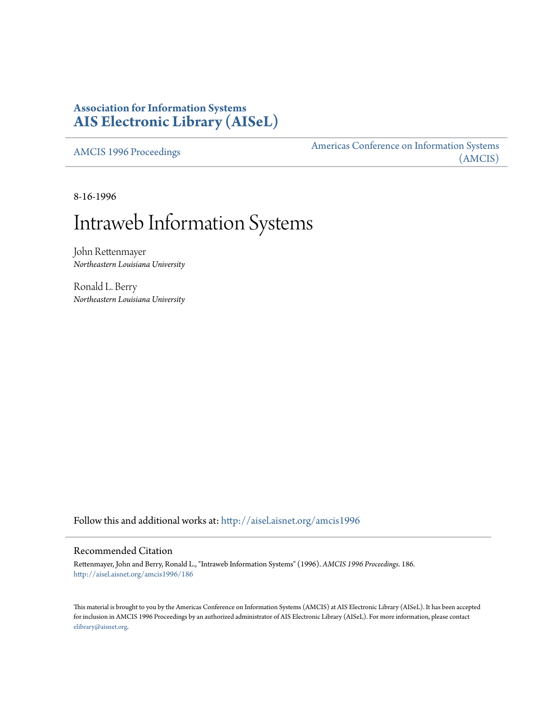# **Association for Information Systems [AIS Electronic Library \(AISeL\)](http://aisel.aisnet.org?utm_source=aisel.aisnet.org%2Famcis1996%2F186&utm_medium=PDF&utm_campaign=PDFCoverPages)**

[AMCIS 1996 Proceedings](http://aisel.aisnet.org/amcis1996?utm_source=aisel.aisnet.org%2Famcis1996%2F186&utm_medium=PDF&utm_campaign=PDFCoverPages)

[Americas Conference on Information Systems](http://aisel.aisnet.org/amcis?utm_source=aisel.aisnet.org%2Famcis1996%2F186&utm_medium=PDF&utm_campaign=PDFCoverPages) [\(AMCIS\)](http://aisel.aisnet.org/amcis?utm_source=aisel.aisnet.org%2Famcis1996%2F186&utm_medium=PDF&utm_campaign=PDFCoverPages)

8-16-1996

# Intraweb Information Systems

John Rettenmayer *Northeastern Louisiana University*

Ronald L. Berry *Northeastern Louisiana University*

Follow this and additional works at: [http://aisel.aisnet.org/amcis1996](http://aisel.aisnet.org/amcis1996?utm_source=aisel.aisnet.org%2Famcis1996%2F186&utm_medium=PDF&utm_campaign=PDFCoverPages)

#### Recommended Citation

Rettenmayer, John and Berry, Ronald L., "Intraweb Information Systems" (1996). *AMCIS 1996 Proceedings*. 186. [http://aisel.aisnet.org/amcis1996/186](http://aisel.aisnet.org/amcis1996/186?utm_source=aisel.aisnet.org%2Famcis1996%2F186&utm_medium=PDF&utm_campaign=PDFCoverPages)

This material is brought to you by the Americas Conference on Information Systems (AMCIS) at AIS Electronic Library (AISeL). It has been accepted for inclusion in AMCIS 1996 Proceedings by an authorized administrator of AIS Electronic Library (AISeL). For more information, please contact [elibrary@aisnet.org.](mailto:elibrary@aisnet.org%3E)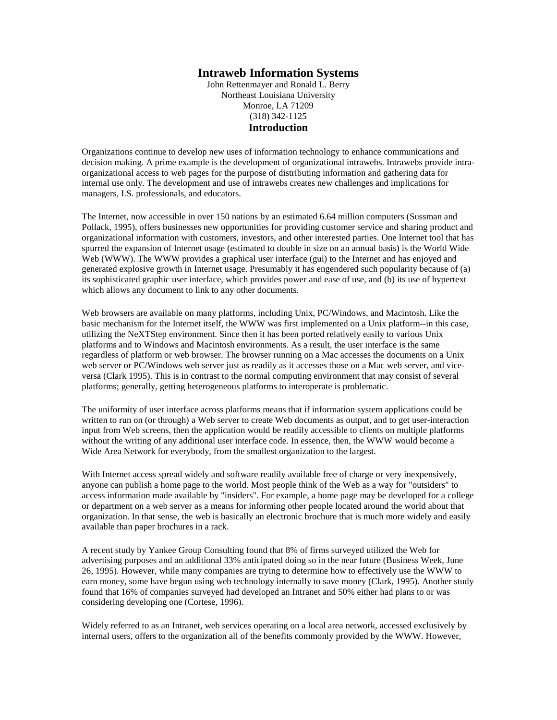### **Intraweb Information Systems**

John Rettenmayer and Ronald L. Berry Northeast Louisiana University Monroe, LA 71209 (318) 342-1125 **Introduction**

Organizations continue to develop new uses of information technology to enhance communications and decision making. A prime example is the development of organizational intrawebs. Intrawebs provide intraorganizational access to web pages for the purpose of distributing information and gathering data for internal use only. The development and use of intrawebs creates new challenges and implications for managers, I.S. professionals, and educators.

The Internet, now accessible in over 150 nations by an estimated 6.64 million computers (Sussman and Pollack, 1995), offers businesses new opportunities for providing customer service and sharing product and organizational information with customers, investors, and other interested parties. One Internet tool that has spurred the expansion of Internet usage (estimated to double in size on an annual basis) is the World Wide Web (WWW). The WWW provides a graphical user interface (gui) to the Internet and has enjoyed and generated explosive growth in Internet usage. Presumably it has engendered such popularity because of (a) its sophisticated graphic user interface, which provides power and ease of use, and (b) its use of hypertext which allows any document to link to any other documents.

Web browsers are available on many platforms, including Unix, PC/Windows, and Macintosh. Like the basic mechanism for the Internet itself, the WWW was first implemented on a Unix platform--in this case, utilizing the NeXTStep environment. Since then it has been ported relatively easily to various Unix platforms and to Windows and Macintosh environments. As a result, the user interface is the same regardless of platform or web browser. The browser running on a Mac accesses the documents on a Unix web server or PC/Windows web server just as readily as it accesses those on a Mac web server, and viceversa (Clark 1995). This is in contrast to the normal computing environment that may consist of several platforms; generally, getting heterogeneous platforms to interoperate is problematic.

The uniformity of user interface across platforms means that if information system applications could be written to run on (or through) a Web server to create Web documents as output, and to get user-interaction input from Web screens, then the application would be readily accessible to clients on multiple platforms without the writing of any additional user interface code. In essence, then, the WWW would become a Wide Area Network for everybody, from the smallest organization to the largest.

With Internet access spread widely and software readily available free of charge or very inexpensively, anyone can publish a home page to the world. Most people think of the Web as a way for "outsiders" to access information made available by "insiders". For example, a home page may be developed for a college or department on a web server as a means for informing other people located around the world about that organization. In that sense, the web is basically an electronic brochure that is much more widely and easily available than paper brochures in a rack.

A recent study by Yankee Group Consulting found that 8% of firms surveyed utilized the Web for advertising purposes and an additional 33% anticipated doing so in the near future (Business Week, June 26, 1995). However, while many companies are trying to determine how to effectively use the WWW to earn money, some have begun using web technology internally to save money (Clark, 1995). Another study found that 16% of companies surveyed had developed an Intranet and 50% either had plans to or was considering developing one (Cortese, 1996).

Widely referred to as an Intranet, web services operating on a local area network, accessed exclusively by internal users, offers to the organization all of the benefits commonly provided by the WWW. However,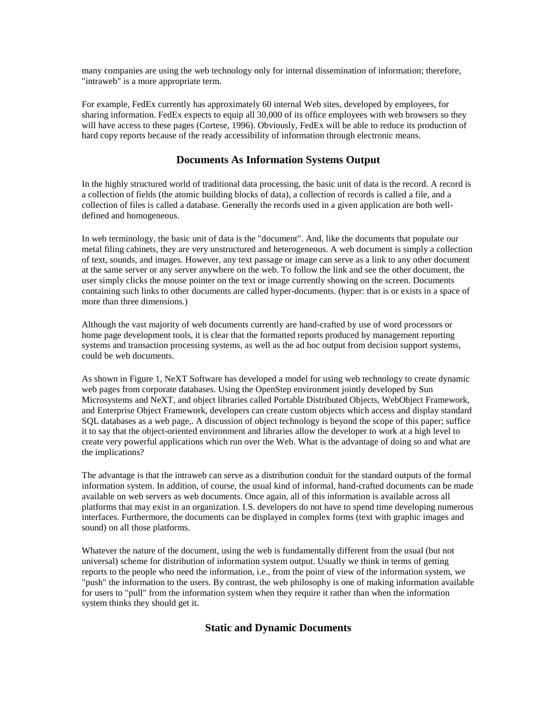many companies are using the web technology only for internal dissemination of information; therefore, "intraweb" is a more appropriate term.

For example, FedEx currently has approximately 60 internal Web sites, developed by employees, for sharing information. FedEx expects to equip all 30,000 of its office employees with web browsers so they will have access to these pages (Cortese, 1996). Obviously, FedEx will be able to reduce its production of hard copy reports because of the ready accessibility of information through electronic means.

### **Documents As Information Systems Output**

In the highly structured world of traditional data processing, the basic unit of data is the record. A record is a collection of fields (the atomic building blocks of data), a collection of records is called a file, and a collection of files is called a database. Generally the records used in a given application are both welldefined and homogeneous.

In web terminology, the basic unit of data is the "document". And, like the documents that populate our metal filing cabinets, they are very unstructured and heterogeneous. A web document is simply a collection of text, sounds, and images. However, any text passage or image can serve as a link to any other document at the same server or any server anywhere on the web. To follow the link and see the other document, the user simply clicks the mouse pointer on the text or image currently showing on the screen. Documents containing such links to other documents are called hyper-documents. (hyper: that is or exists in a space of more than three dimensions.)

Although the vast majority of web documents currently are hand-crafted by use of word processors or home page development tools, it is clear that the formatted reports produced by management reporting systems and transaction processing systems, as well as the ad hoc output from decision support systems, could be web documents.

As shown in Figure 1, NeXT Software has developed a model for using web technology to create dynamic web pages from corporate databases. Using the OpenStep environment jointly developed by Sun Microsystems and NeXT, and object libraries called Portable Distributed Objects, WebObject Framework, and Enterprise Object Framework, developers can create custom objects which access and display standard SQL databases as a web page,. A discussion of object technology is beyond the scope of this paper; suffice it to say that the object-oriented environment and libraries allow the developer to work at a high level to create very powerful applications which run over the Web. What is the advantage of doing so and what are the implications?

The advantage is that the intraweb can serve as a distribution conduit for the standard outputs of the formal information system. In addition, of course, the usual kind of informal, hand-crafted documents can be made available on web servers as web documents. Once again, all of this information is available across all platforms that may exist in an organization. I.S. developers do not have to spend time developing numerous interfaces. Furthermore, the documents can be displayed in complex forms (text with graphic images and sound) on all those platforms.

Whatever the nature of the document, using the web is fundamentally different from the usual (but not universal) scheme for distribution of information system output. Usually we think in terms of getting reports to the people who need the information, i.e., from the point of view of the information system, we "push" the information to the users. By contrast, the web philosophy is one of making information available for users to "pull" from the information system when they require it rather than when the information system thinks they should get it.

## **Static and Dynamic Documents**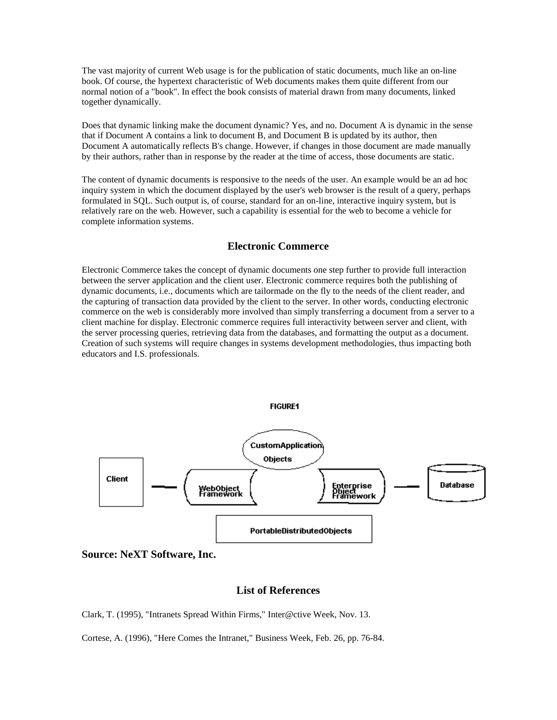The vast majority of current Web usage is for the publication of static documents, much like an on-line book. Of course, the hypertext characteristic of Web documents makes them quite different from our normal notion of a "book". In effect the book consists of material drawn from many documents, linked together dynamically.

Does that dynamic linking make the document dynamic? Yes, and no. Document A is dynamic in the sense that if Document A contains a link to document B, and Document B is updated by its author, then Document A automatically reflects B's change. However, if changes in those document are made manually by their authors, rather than in response by the reader at the time of access, those documents are static.

The content of dynamic documents is responsive to the needs of the user. An example would be an ad hoc inquiry system in which the document displayed by the user's web browser is the result of a query, perhaps formulated in SQL. Such output is, of course, standard for an on-line, interactive inquiry system, but is relatively rare on the web. However, such a capability is essential for the web to become a vehicle for complete information systems.

#### **Electronic Commerce**

Electronic Commerce takes the concept of dynamic documents one step further to provide full interaction between the server application and the client user. Electronic commerce requires both the publishing of dynamic documents, i.e., documents which are tailormade on the fly to the needs of the client reader, and the capturing of transaction data provided by the client to the server. In other words, conducting electronic commerce on the web is considerably more involved than simply transferring a document from a server to a client machine for display. Electronic commerce requires full interactivity between server and client, with the server processing queries, retrieving data from the databases, and formatting the output as a document. Creation of such systems will require changes in systems development methodologies, thus impacting both educators and I.S. professionals.



**Source: NeXT Software, Inc.**

#### **List of References**

Clark, T. (1995), "Intranets Spread Within Firms," Inter@ctive Week, Nov. 13.

Cortese, A. (1996), "Here Comes the Intranet," Business Week, Feb. 26, pp. 76-84.